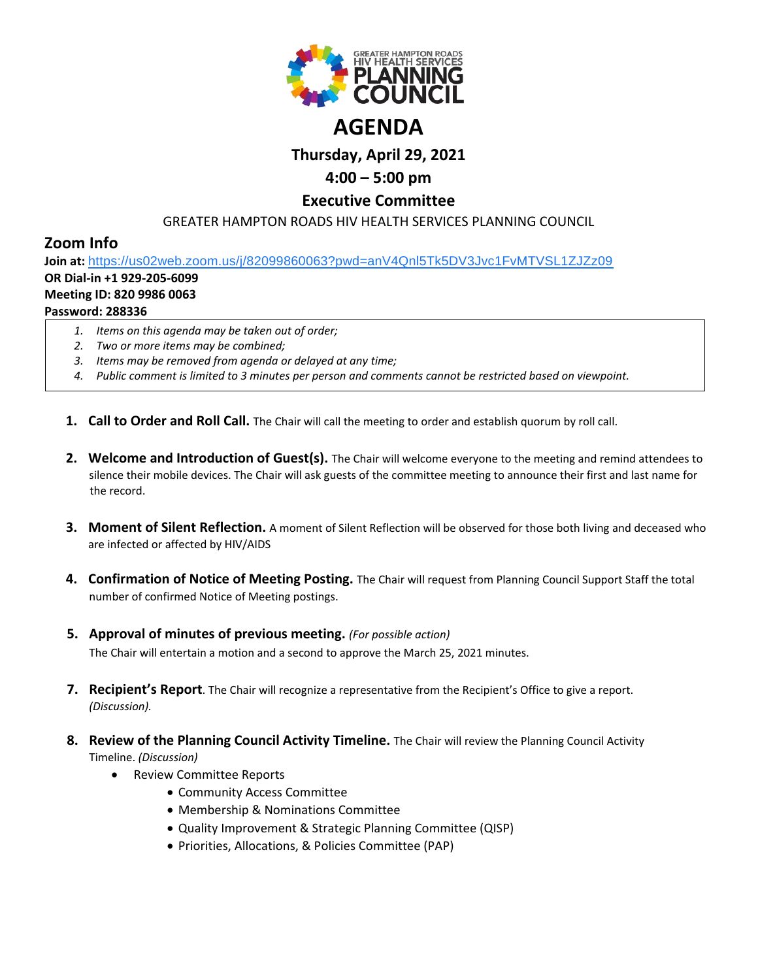

# **Thursday, April 29, 2021**

## **4:00 – 5:00 pm**

## **Executive Committee**

GREATER HAMPTON ROADS HIV HEALTH SERVICES PLANNING COUNCIL

## **Zoom Info**

**Join at:** [https://us02web.zoom.us/j/82099860063?pwd=anV4Qnl5Tk5DV3Jvc1FvMTVSL1ZJZz09](https://www.google.com/url?q=https://us02web.zoom.us/j/82099860063?pwd%3DanV4Qnl5Tk5DV3Jvc1FvMTVSL1ZJZz09&sa=D&source=calendar&ust=1616595038982000&usg=AOvVaw0XXWi-w2TTi7zJiXdjtkF1) **OR Dial-in +1 929-205-6099**

### **Meeting ID: 820 9986 0063**

### **Password: 288336**

- *1. Items on this agenda may be taken out of order;*
- *2. Two or more items may be combined;*
- *3. Items may be removed from agenda or delayed at any time;*
- *4. Public comment is limited to 3 minutes per person and comments cannot be restricted based on viewpoint.*
- **1. Call to Order and Roll Call.** The Chair will call the meeting to order and establish quorum by roll call.
- **2. Welcome and Introduction of Guest(s).** The Chair will welcome everyone to the meeting and remind attendees to silence their mobile devices. The Chair will ask guests of the committee meeting to announce their first and last name for the record.
- **3. Moment of Silent Reflection.** A moment of Silent Reflection will be observed for those both living and deceased who are infected or affected by HIV/AIDS
- **4. Confirmation of Notice of Meeting Posting.** The Chair will request from Planning Council Support Staff the total number of confirmed Notice of Meeting postings.
- **5. Approval of minutes of previous meeting.** *(For possible action)* The Chair will entertain a motion and a second to approve the March 25, 2021 minutes.
- **7. Recipient's Report**. The Chair will recognize a representative from the Recipient's Office to give a report. *(Discussion).*
- **8. Review of the Planning Council Activity Timeline.** The Chair will review the Planning Council Activity Timeline. *(Discussion)*
	- Review Committee Reports
		- Community Access Committee
		- Membership & Nominations Committee
		- Quality Improvement & Strategic Planning Committee (QISP)
		- Priorities, Allocations, & Policies Committee (PAP)